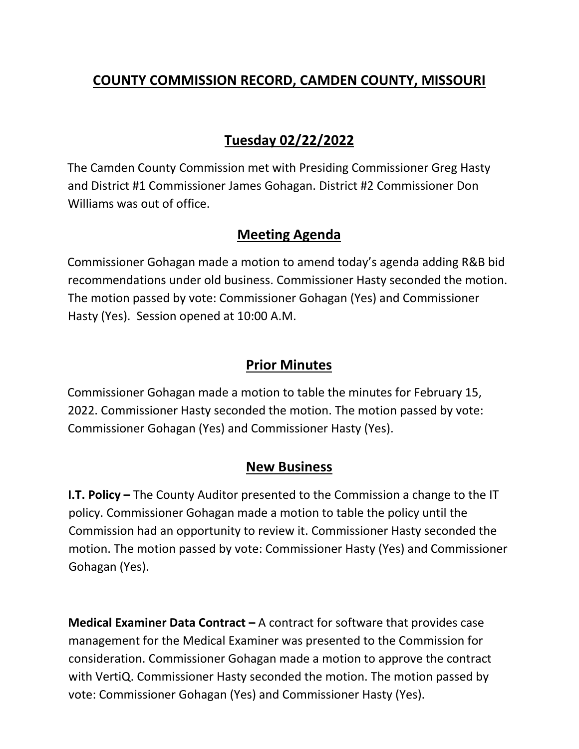# **COUNTY COMMISSION RECORD, CAMDEN COUNTY, MISSOURI**

# **Tuesday 02/22/2022**

The Camden County Commission met with Presiding Commissioner Greg Hasty and District #1 Commissioner James Gohagan. District #2 Commissioner Don Williams was out of office.

## **Meeting Agenda**

Commissioner Gohagan made a motion to amend today's agenda adding R&B bid recommendations under old business. Commissioner Hasty seconded the motion. The motion passed by vote: Commissioner Gohagan (Yes) and Commissioner Hasty (Yes). Session opened at 10:00 A.M.

## **Prior Minutes**

Commissioner Gohagan made a motion to table the minutes for February 15, 2022. Commissioner Hasty seconded the motion. The motion passed by vote: Commissioner Gohagan (Yes) and Commissioner Hasty (Yes).

### **New Business**

**I.T. Policy –** The County Auditor presented to the Commission a change to the IT policy. Commissioner Gohagan made a motion to table the policy until the Commission had an opportunity to review it. Commissioner Hasty seconded the motion. The motion passed by vote: Commissioner Hasty (Yes) and Commissioner Gohagan (Yes).

**Medical Examiner Data Contract –** A contract for software that provides case management for the Medical Examiner was presented to the Commission for consideration. Commissioner Gohagan made a motion to approve the contract with VertiQ. Commissioner Hasty seconded the motion. The motion passed by vote: Commissioner Gohagan (Yes) and Commissioner Hasty (Yes).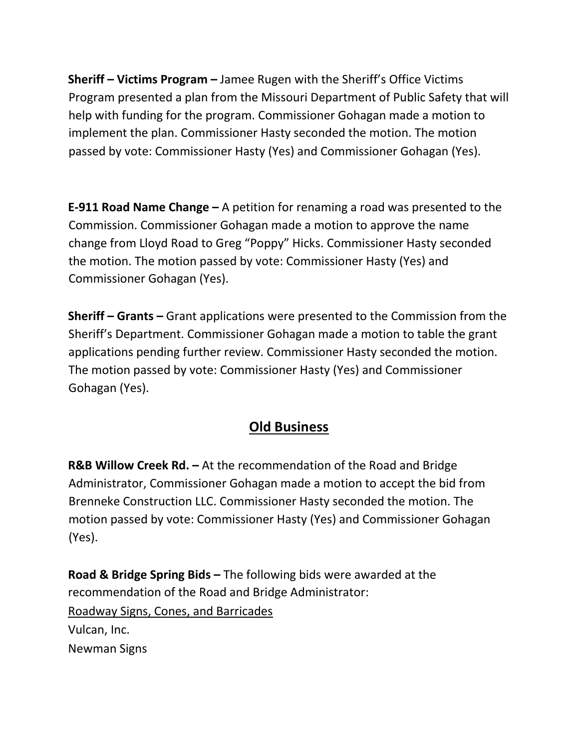**Sheriff – Victims Program –** Jamee Rugen with the Sheriff's Office Victims Program presented a plan from the Missouri Department of Public Safety that will help with funding for the program. Commissioner Gohagan made a motion to implement the plan. Commissioner Hasty seconded the motion. The motion passed by vote: Commissioner Hasty (Yes) and Commissioner Gohagan (Yes).

**E-911 Road Name Change –** A petition for renaming a road was presented to the Commission. Commissioner Gohagan made a motion to approve the name change from Lloyd Road to Greg "Poppy" Hicks. Commissioner Hasty seconded the motion. The motion passed by vote: Commissioner Hasty (Yes) and Commissioner Gohagan (Yes).

**Sheriff – Grants –** Grant applications were presented to the Commission from the Sheriff's Department. Commissioner Gohagan made a motion to table the grant applications pending further review. Commissioner Hasty seconded the motion. The motion passed by vote: Commissioner Hasty (Yes) and Commissioner Gohagan (Yes).

## **Old Business**

**R&B Willow Creek Rd. –** At the recommendation of the Road and Bridge Administrator, Commissioner Gohagan made a motion to accept the bid from Brenneke Construction LLC. Commissioner Hasty seconded the motion. The motion passed by vote: Commissioner Hasty (Yes) and Commissioner Gohagan (Yes).

**Road & Bridge Spring Bids –** The following bids were awarded at the recommendation of the Road and Bridge Administrator: Roadway Signs, Cones, and Barricades Vulcan, Inc. Newman Signs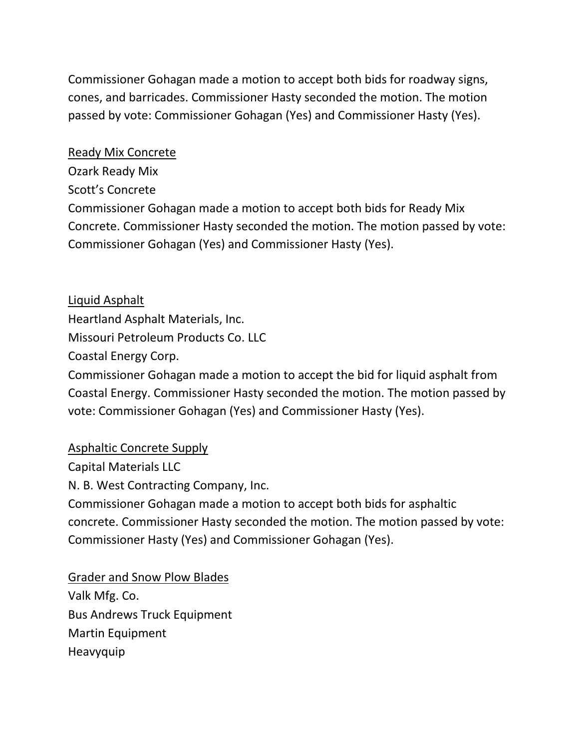Commissioner Gohagan made a motion to accept both bids for roadway signs, cones, and barricades. Commissioner Hasty seconded the motion. The motion passed by vote: Commissioner Gohagan (Yes) and Commissioner Hasty (Yes).

#### Ready Mix Concrete

Ozark Ready Mix Scott's Concrete Commissioner Gohagan made a motion to accept both bids for Ready Mix Concrete. Commissioner Hasty seconded the motion. The motion passed by vote: Commissioner Gohagan (Yes) and Commissioner Hasty (Yes).

Liquid Asphalt Heartland Asphalt Materials, Inc. Missouri Petroleum Products Co. LLC Coastal Energy Corp. Commissioner Gohagan made a motion to accept the bid for liquid asphalt from Coastal Energy. Commissioner Hasty seconded the motion. The motion passed by vote: Commissioner Gohagan (Yes) and Commissioner Hasty (Yes).

### Asphaltic Concrete Supply

Capital Materials LLC

N. B. West Contracting Company, Inc.

Commissioner Gohagan made a motion to accept both bids for asphaltic concrete. Commissioner Hasty seconded the motion. The motion passed by vote: Commissioner Hasty (Yes) and Commissioner Gohagan (Yes).

Grader and Snow Plow Blades Valk Mfg. Co. Bus Andrews Truck Equipment Martin Equipment Heavyquip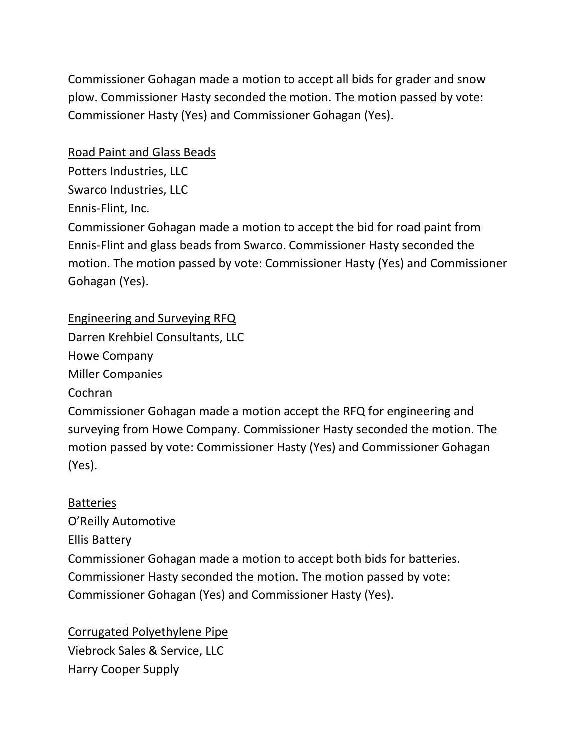Commissioner Gohagan made a motion to accept all bids for grader and snow plow. Commissioner Hasty seconded the motion. The motion passed by vote: Commissioner Hasty (Yes) and Commissioner Gohagan (Yes).

### Road Paint and Glass Beads

Potters Industries, LLC

Swarco Industries, LLC

Ennis-Flint, Inc.

Commissioner Gohagan made a motion to accept the bid for road paint from Ennis-Flint and glass beads from Swarco. Commissioner Hasty seconded the motion. The motion passed by vote: Commissioner Hasty (Yes) and Commissioner Gohagan (Yes).

Engineering and Surveying RFQ

Darren Krehbiel Consultants, LLC

Howe Company

Miller Companies

Cochran

Commissioner Gohagan made a motion accept the RFQ for engineering and surveying from Howe Company. Commissioner Hasty seconded the motion. The motion passed by vote: Commissioner Hasty (Yes) and Commissioner Gohagan (Yes).

### **Batteries**

O'Reilly Automotive Ellis Battery Commissioner Gohagan made a motion to accept both bids for batteries. Commissioner Hasty seconded the motion. The motion passed by vote: Commissioner Gohagan (Yes) and Commissioner Hasty (Yes).

Corrugated Polyethylene Pipe Viebrock Sales & Service, LLC Harry Cooper Supply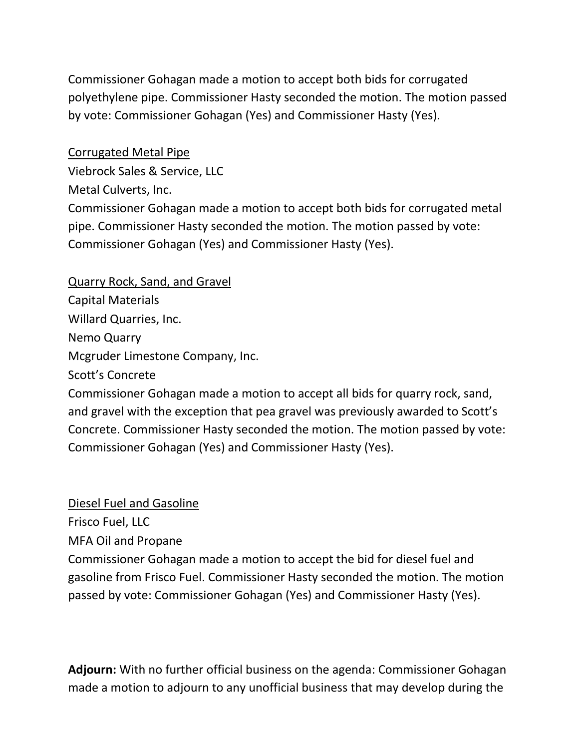Commissioner Gohagan made a motion to accept both bids for corrugated polyethylene pipe. Commissioner Hasty seconded the motion. The motion passed by vote: Commissioner Gohagan (Yes) and Commissioner Hasty (Yes).

#### Corrugated Metal Pipe

Viebrock Sales & Service, LLC Metal Culverts, Inc. Commissioner Gohagan made a motion to accept both bids for corrugated metal pipe. Commissioner Hasty seconded the motion. The motion passed by vote: Commissioner Gohagan (Yes) and Commissioner Hasty (Yes).

Quarry Rock, Sand, and Gravel Capital Materials Willard Quarries, Inc. Nemo Quarry Mcgruder Limestone Company, Inc. Scott's Concrete

Commissioner Gohagan made a motion to accept all bids for quarry rock, sand, and gravel with the exception that pea gravel was previously awarded to Scott's Concrete. Commissioner Hasty seconded the motion. The motion passed by vote: Commissioner Gohagan (Yes) and Commissioner Hasty (Yes).

#### Diesel Fuel and Gasoline

Frisco Fuel, LLC

MFA Oil and Propane

Commissioner Gohagan made a motion to accept the bid for diesel fuel and gasoline from Frisco Fuel. Commissioner Hasty seconded the motion. The motion passed by vote: Commissioner Gohagan (Yes) and Commissioner Hasty (Yes).

**Adjourn:** With no further official business on the agenda: Commissioner Gohagan made a motion to adjourn to any unofficial business that may develop during the